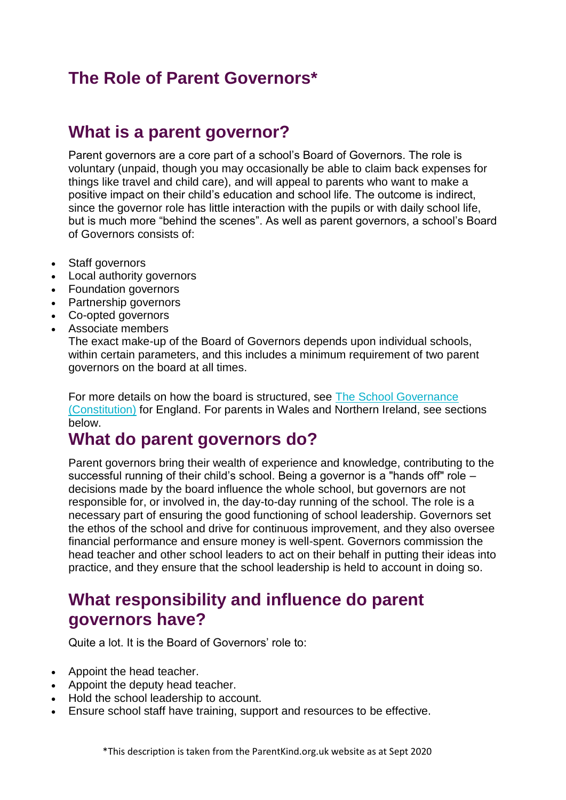# **The Role of Parent Governors\***

#### **What is a parent governor?**

Parent governors are a core part of a school's Board of Governors. The role is voluntary (unpaid, though you may occasionally be able to claim back expenses for things like travel and child care), and will appeal to parents who want to make a positive impact on their child's education and school life. The outcome is indirect, since the governor role has little interaction with the pupils or with daily school life, but is much more "behind the scenes". As well as parent governors, a school's Board of Governors consists of:

- Staff governors
- Local authority governors
- Foundation governors
- Partnership governors
- Co-opted governors
- Associate members

The exact make-up of the Board of Governors depends upon individual schools, within certain parameters, and this includes a minimum requirement of two parent governors on the board at all times.

For more details on how the board is structured, see The School [Governance](http://www.legislation.gov.uk/uksi/2012/1034/contents/made) [\(Constitution\)](http://www.legislation.gov.uk/uksi/2012/1034/contents/made) for England. For parents in Wales and Northern Ireland, see sections below.

### **What do parent governors do?**

Parent governors bring their wealth of experience and knowledge, contributing to the successful running of their child's school. Being a governor is a "hands off" role – decisions made by the board influence the whole school, but governors are not responsible for, or involved in, the day-to-day running of the school. The role is a necessary part of ensuring the good functioning of school leadership. Governors set the ethos of the school and drive for continuous improvement, and they also oversee financial performance and ensure money is well-spent. Governors commission the head teacher and other school leaders to act on their behalf in putting their ideas into practice, and they ensure that the school leadership is held to account in doing so.

### **What responsibility and influence do parent governors have?**

Quite a lot. It is the Board of Governors' role to:

- Appoint the head teacher.
- Appoint the deputy head teacher.
- Hold the school leadership to account.
- Ensure school staff have training, support and resources to be effective.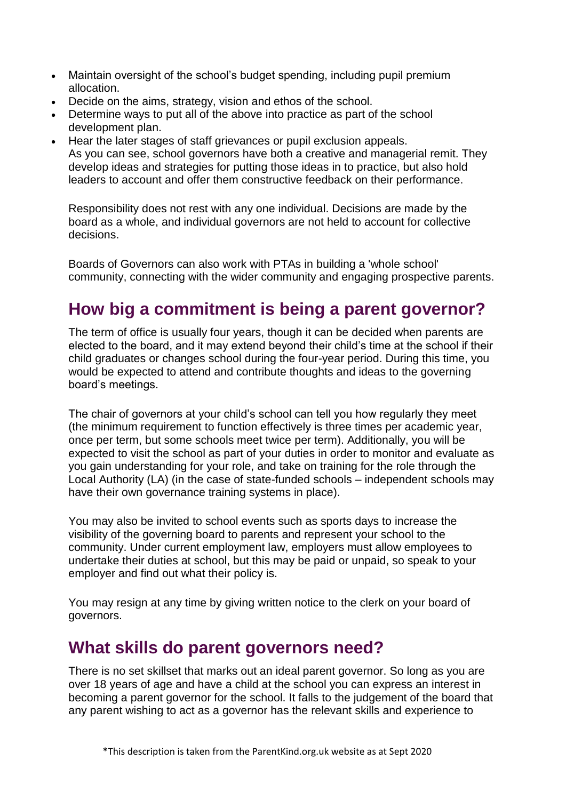- Maintain oversight of the school's budget spending, including pupil premium allocation.
- Decide on the aims, strategy, vision and ethos of the school.
- Determine ways to put all of the above into practice as part of the school development plan.
- Hear the later stages of staff grievances or pupil exclusion appeals. As you can see, school governors have both a creative and managerial remit. They develop ideas and strategies for putting those ideas in to practice, but also hold leaders to account and offer them constructive feedback on their performance.

Responsibility does not rest with any one individual. Decisions are made by the board as a whole, and individual governors are not held to account for collective decisions.

Boards of Governors can also work with PTAs in building a 'whole school' community, connecting with the wider community and engaging prospective parents.

# **How big a commitment is being a parent governor?**

The term of office is usually four years, though it can be decided when parents are elected to the board, and it may extend beyond their child's time at the school if their child graduates or changes school during the four-year period. During this time, you would be expected to attend and contribute thoughts and ideas to the governing board's meetings.

The chair of governors at your child's school can tell you how regularly they meet (the minimum requirement to function effectively is three times per academic year, once per term, but some schools meet twice per term). Additionally, you will be expected to visit the school as part of your duties in order to monitor and evaluate as you gain understanding for your role, and take on training for the role through the Local Authority (LA) (in the case of state-funded schools – independent schools may have their own governance training systems in place).

You may also be invited to school events such as sports days to increase the visibility of the governing board to parents and represent your school to the community. Under current employment law, employers must allow employees to undertake their duties at school, but this may be paid or unpaid, so speak to your employer and find out what their policy is.

You may resign at any time by giving written notice to the clerk on your board of governors.

#### **What skills do parent governors need?**

There is no set skillset that marks out an ideal parent governor. So long as you are over 18 years of age and have a child at the school you can express an interest in becoming a parent governor for the school. It falls to the judgement of the board that any parent wishing to act as a governor has the relevant skills and experience to